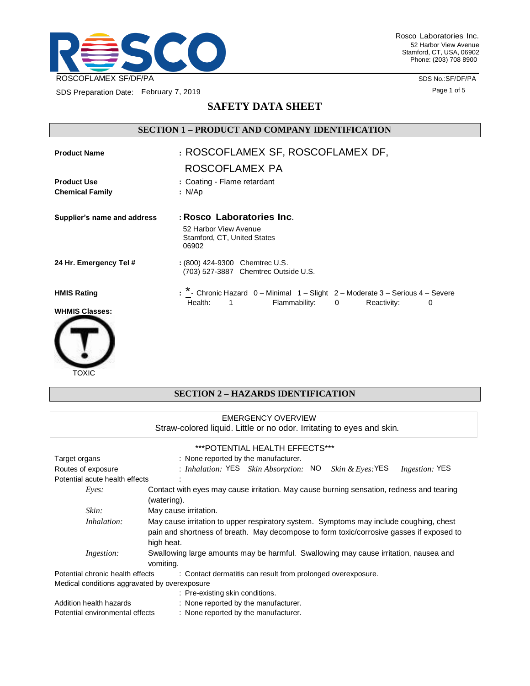

SDS Preparation Date: February 7, 2019

SDS No.:SF/DF/PA Page 1 of 5

# **SAFETY DATA SHEET**

# **SECTION 1 – PRODUCT AND COMPANY IDENTIFICATION**

| <b>Product Name</b>                          | : ROSCOFLAMEX SF, ROSCOFLAMEX DF,                                                                                                               |
|----------------------------------------------|-------------------------------------------------------------------------------------------------------------------------------------------------|
|                                              | ROSCOFLAMEX PA                                                                                                                                  |
| <b>Product Use</b><br><b>Chemical Family</b> | : Coating - Flame retardant<br>: N/Ap                                                                                                           |
| Supplier's name and address                  | : Rosco Laboratories Inc.<br>52 Harbor View Avenue<br>Stamford, CT, United States<br>06902                                                      |
| 24 Hr. Emergency Tel #                       | : (800) 424-9300 Chemtrec U.S.<br>(703) 527-3887 Chemtrec Outside U.S.                                                                          |
| <b>HMIS Rating</b><br><b>WHMIS Classes:</b>  | : $*$ - Chronic Hazard $0$ – Minimal $1$ – Slight $2$ – Moderate $3$ – Serious $4$ – Severe<br>Flammability: 0<br>Health: 1<br>Reactivity:<br>0 |
|                                              |                                                                                                                                                 |

#### TOXIC

## **SECTION 2 – HAZARDS IDENTIFICATION**

| <b>EMERGENCY OVERVIEW</b>                                                                        |                                                                                          |  |  |  |  |
|--------------------------------------------------------------------------------------------------|------------------------------------------------------------------------------------------|--|--|--|--|
|                                                                                                  | Straw-colored liquid. Little or no odor. Irritating to eyes and skin.                    |  |  |  |  |
|                                                                                                  | ***POTENTIAL HEALTH EFFECTS***                                                           |  |  |  |  |
| Target organs                                                                                    | : None reported by the manufacturer.                                                     |  |  |  |  |
| Routes of exposure                                                                               | : Inhalation: $YES$ Skin Absorption: $NO$ Skin & Eyes: YES<br><i>Ingestion:</i> YES      |  |  |  |  |
| Potential acute health effects                                                                   |                                                                                          |  |  |  |  |
| Eyes:                                                                                            | Contact with eyes may cause irritation. May cause burning sensation, redness and tearing |  |  |  |  |
|                                                                                                  | (watering).                                                                              |  |  |  |  |
| Skin:                                                                                            | May cause irritation.                                                                    |  |  |  |  |
| Inhalation:                                                                                      | May cause irritation to upper respiratory system. Symptoms may include coughing, chest   |  |  |  |  |
|                                                                                                  | pain and shortness of breath. May decompose to form toxic/corrosive gasses if exposed to |  |  |  |  |
|                                                                                                  | high heat.                                                                               |  |  |  |  |
| Ingestion:                                                                                       | Swallowing large amounts may be harmful. Swallowing may cause irritation, nausea and     |  |  |  |  |
|                                                                                                  | vomiting.                                                                                |  |  |  |  |
| Potential chronic health effects<br>: Contact dermatitis can result from prolonged overexposure. |                                                                                          |  |  |  |  |
| Medical conditions aggravated by overexposure                                                    |                                                                                          |  |  |  |  |
|                                                                                                  | : Pre-existing skin conditions.                                                          |  |  |  |  |
| Addition health hazards                                                                          | : None reported by the manufacturer.                                                     |  |  |  |  |
| Potential environmental effects                                                                  | : None reported by the manufacturer.                                                     |  |  |  |  |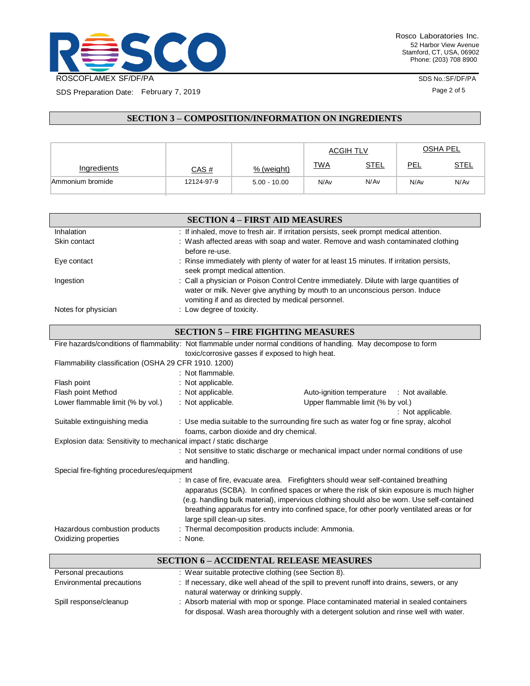

SDS Preparation Date: February 7, 2019

Rosco Laboratories Inc. 52 Harbor View Avenue Stamford, CT, USA, 06902 Phone: (203) 708 8900

SDS No.:SF/DF/PA

Page 2 of 5

**SECTION 3 – COMPOSITION/INFORMATION ON INGREDIENTS**

|                  |              |                | <b>ACGIH TLV</b> |             |      | <b>OSHA PEL</b> |
|------------------|--------------|----------------|------------------|-------------|------|-----------------|
| Ingredients      | <u>CAS #</u> | % (weight)     | <b>TWA</b>       | <u>STEL</u> | PEL  | <b>STEL</b>     |
| Ammonium bromide | 12124-97-9   | $5.00 - 10.00$ | N/Av             | N/Av        | N/Av | N/Av            |

|                     | <b>SECTION 4 – FIRST AID MEASURES</b>                                                                                                                                                                                         |
|---------------------|-------------------------------------------------------------------------------------------------------------------------------------------------------------------------------------------------------------------------------|
| Inhalation          | : If inhaled, move to fresh air. If irritation persists, seek prompt medical attention.                                                                                                                                       |
| Skin contact        | : Wash affected areas with soap and water. Remove and wash contaminated clothing<br>before re-use.                                                                                                                            |
| Eye contact         | : Rinse immediately with plenty of water for at least 15 minutes. If irritation persists,<br>seek prompt medical attention.                                                                                                   |
| Ingestion           | : Call a physician or Poison Control Centre immediately. Dilute with large quantities of<br>water or milk. Never give anything by mouth to an unconscious person. Induce<br>vomiting if and as directed by medical personnel. |
| Notes for physician | : Low degree of toxicity.                                                                                                                                                                                                     |

| <b>SECTION 5 – FIRE FIGHTING MEASURES</b>                                                                         |                                                                                                                                                                                                                                                                                                                                                                                                           |                                                    |  |  |
|-------------------------------------------------------------------------------------------------------------------|-----------------------------------------------------------------------------------------------------------------------------------------------------------------------------------------------------------------------------------------------------------------------------------------------------------------------------------------------------------------------------------------------------------|----------------------------------------------------|--|--|
| Fire hazards/conditions of flammability: Not flammable under normal conditions of handling. May decompose to form |                                                                                                                                                                                                                                                                                                                                                                                                           |                                                    |  |  |
|                                                                                                                   | toxic/corrosive gasses if exposed to high heat.                                                                                                                                                                                                                                                                                                                                                           |                                                    |  |  |
| Flammability classification (OSHA 29 CFR 1910. 1200)                                                              |                                                                                                                                                                                                                                                                                                                                                                                                           |                                                    |  |  |
|                                                                                                                   | : Not flammable.                                                                                                                                                                                                                                                                                                                                                                                          |                                                    |  |  |
| Flash point                                                                                                       | : Not applicable.                                                                                                                                                                                                                                                                                                                                                                                         |                                                    |  |  |
| Flash point Method                                                                                                | : Not applicable.                                                                                                                                                                                                                                                                                                                                                                                         | Auto-ignition temperature : Not available.         |  |  |
| Lower flammable limit (% by vol.)                                                                                 | : Not applicable.                                                                                                                                                                                                                                                                                                                                                                                         | Upper flammable limit (% by vol.)                  |  |  |
|                                                                                                                   |                                                                                                                                                                                                                                                                                                                                                                                                           | : Not applicable.                                  |  |  |
| Suitable extinguishing media                                                                                      | : Use media suitable to the surrounding fire such as water fog or fine spray, alcohol                                                                                                                                                                                                                                                                                                                     |                                                    |  |  |
| foams, carbon dioxide and dry chemical.                                                                           |                                                                                                                                                                                                                                                                                                                                                                                                           |                                                    |  |  |
| Explosion data: Sensitivity to mechanical impact / static discharge                                               |                                                                                                                                                                                                                                                                                                                                                                                                           |                                                    |  |  |
|                                                                                                                   | : Not sensitive to static discharge or mechanical impact under normal conditions of use<br>and handling.                                                                                                                                                                                                                                                                                                  |                                                    |  |  |
| Special fire-fighting procedures/equipment                                                                        |                                                                                                                                                                                                                                                                                                                                                                                                           |                                                    |  |  |
|                                                                                                                   | : In case of fire, evacuate area. Firefighters should wear self-contained breathing<br>apparatus (SCBA). In confined spaces or where the risk of skin exposure is much higher<br>(e.g. handling bulk material), impervious clothing should also be worn. Use self-contained<br>breathing apparatus for entry into confined space, for other poorly ventilated areas or for<br>large spill clean-up sites. |                                                    |  |  |
| Hazardous combustion products                                                                                     |                                                                                                                                                                                                                                                                                                                                                                                                           | : Thermal decomposition products include: Ammonia. |  |  |
| Oxidizing properties                                                                                              | : None.                                                                                                                                                                                                                                                                                                                                                                                                   |                                                    |  |  |

|                           | <b>SECTION 6 - ACCIDENTAL RELEASE MEASURES</b>                                                                                                                                    |
|---------------------------|-----------------------------------------------------------------------------------------------------------------------------------------------------------------------------------|
| Personal precautions      | : Wear suitable protective clothing (see Section 8).                                                                                                                              |
| Environmental precautions | : If necessary, dike well ahead of the spill to prevent runoff into drains, sewers, or any<br>natural waterway or drinking supply.                                                |
| Spill response/cleanup    | : Absorb material with mop or sponge. Place contaminated material in sealed containers<br>for disposal. Wash area thoroughly with a detergent solution and rinse well with water. |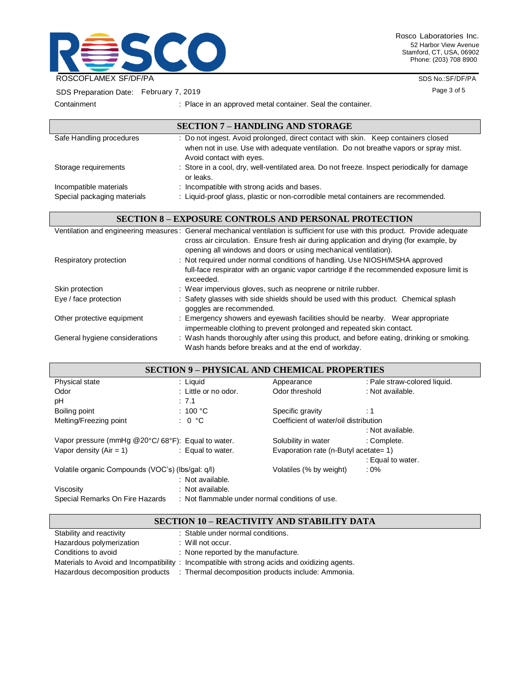

Rosco Laboratories Inc. 52 Harbor View Avenue Stamford, CT, USA, 06902 Phone: (203) 708 8900

> SDS No.:SF/DF/PA Page 3 of 5

SDS Preparation Date: February 7, 2019

Containment : Place in an approved metal container. Seal the container.

|                             | <b>SECTION 7 - HANDLING AND STORAGE</b>                                                                                                                                                                |
|-----------------------------|--------------------------------------------------------------------------------------------------------------------------------------------------------------------------------------------------------|
| Safe Handling procedures    | : Do not ingest. Avoid prolonged, direct contact with skin. Keep containers closed<br>when not in use. Use with adequate ventilation. Do not breathe vapors or spray mist.<br>Avoid contact with eyes. |
| Storage requirements        | : Store in a cool, dry, well-ventilated area. Do not freeze. Inspect periodically for damage<br>or leaks.                                                                                              |
| Incompatible materials      | : Incompatible with strong acids and bases.                                                                                                                                                            |
| Special packaging materials | : Liquid-proof glass, plastic or non-corrodible metal containers are recommended.                                                                                                                      |

## **SECTION 8 – EXPOSURE CONTROLS AND PERSONAL PROTECTION**

|                                | Ventilation and engineering measures: General mechanical ventilation is sufficient for use with this product. Provide adequate                        |
|--------------------------------|-------------------------------------------------------------------------------------------------------------------------------------------------------|
|                                | cross air circulation. Ensure fresh air during application and drying (for example, by                                                                |
|                                | opening all windows and doors or using mechanical ventilation).                                                                                       |
| Respiratory protection         | : Not required under normal conditions of handling. Use NIOSH/MSHA approved                                                                           |
|                                | full-face respirator with an organic vapor cartridge if the recommended exposure limit is<br>exceeded.                                                |
| Skin protection                | : Wear impervious gloves, such as neoprene or nitrile rubber.                                                                                         |
| Eye / face protection          | : Safety glasses with side shields should be used with this product. Chemical splash<br>goggles are recommended.                                      |
| Other protective equipment     | : Emergency showers and eyewash facilities should be nearby. Wear appropriate<br>impermeable clothing to prevent prolonged and repeated skin contact. |
| General hygiene considerations | : Wash hands thoroughly after using this product, and before eating, drinking or smoking.<br>Wash hands before breaks and at the end of workday.      |

| <b>SECTION 9 - PHYSICAL AND CHEMICAL PROPERTIES</b>                                |                      |                                       |                              |  |
|------------------------------------------------------------------------------------|----------------------|---------------------------------------|------------------------------|--|
| Physical state                                                                     | : Liquid             | Appearance                            | : Pale straw-colored liquid. |  |
| Odor                                                                               | : Little or no odor. | Odor threshold                        | : Not available.             |  |
| pH                                                                                 | : 7.1                |                                       |                              |  |
| Boiling point                                                                      | : 100 $^{\circ}$ C   | Specific gravity                      | :1                           |  |
| Melting/Freezing point                                                             | : 0 °C               | Coefficient of water/oil distribution |                              |  |
|                                                                                    |                      |                                       | : Not available.             |  |
| Vapor pressure (mmHg @20°C/68°F): Equal to water.                                  |                      | Solubility in water                   | : Complete.                  |  |
| Vapor density $(Air = 1)$                                                          | : Equal to water.    | Evaporation rate (n-Butyl acetate= 1) |                              |  |
|                                                                                    |                      |                                       | : Equal to water.            |  |
| Volatile organic Compounds (VOC's) (Ibs/gal: g/l)                                  |                      | Volatiles (% by weight)               | : 0%                         |  |
|                                                                                    | : Not available.     |                                       |                              |  |
| Viscosity                                                                          | : Not available.     |                                       |                              |  |
| Special Remarks On Fire Hazards<br>: Not flammable under normal conditions of use. |                      |                                       |                              |  |

## **SECTION 10 – REACTIVITY AND STABILITY DATA**

| Stability and reactivity | : Stable under normal conditions.                                                             |
|--------------------------|-----------------------------------------------------------------------------------------------|
| Hazardous polymerization | $\therefore$ Will not occur.                                                                  |
| Conditions to avoid      | : None reported by the manufacture.                                                           |
|                          | Materials to Avoid and Incompatibility : Incompatible with strong acids and oxidizing agents. |
|                          | Hazardous decomposition products : Thermal decomposition products include: Ammonia.           |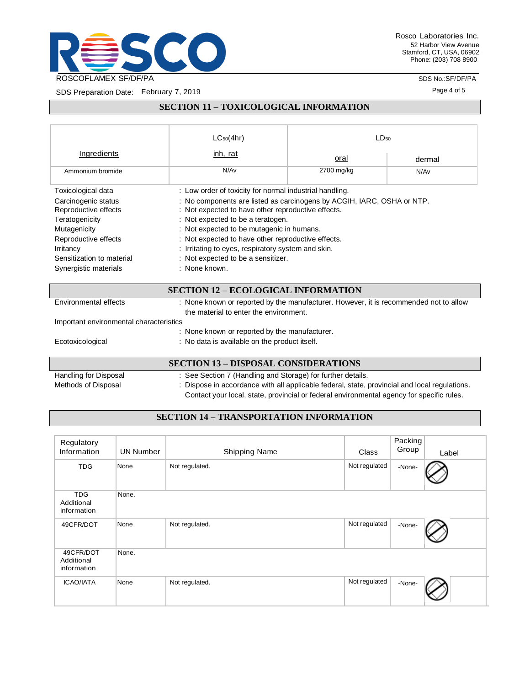

SDS No.:SF/DF/PA

Page 4 of 5

SDS Preparation Date: February 7, 2019

# **SECTION 11 – TOXICOLOGICAL INFORMATION**

|                                                                                         | $LC_{50}(4hr)$                                                                                                                                                  | $LD_{50}$  |        |  |  |
|-----------------------------------------------------------------------------------------|-----------------------------------------------------------------------------------------------------------------------------------------------------------------|------------|--------|--|--|
| Ingredients                                                                             | inh, rat                                                                                                                                                        | oral       | dermal |  |  |
| Ammonium bromide                                                                        | N/Av                                                                                                                                                            | 2700 mg/kg | N/Av   |  |  |
| Toxicological data                                                                      | : Low order of toxicity for normal industrial handling.                                                                                                         |            |        |  |  |
| Carcinogenic status<br>Reproductive effects                                             | : No components are listed as carcinogens by ACGIH, IARC, OSHA or NTP.<br>: Not expected to have other reproductive effects.                                    |            |        |  |  |
| Teratogenicity<br>Mutagenicity                                                          | : Not expected to be a teratogen.<br>: Not expected to be mutagenic in humans.                                                                                  |            |        |  |  |
| Reproductive effects<br>Irritancy<br>Sensitization to material<br>Synergistic materials | : Not expected to have other reproductive effects.<br>: Irritating to eyes, respiratory system and skin.<br>: Not expected to be a sensitizer.<br>: None known. |            |        |  |  |

### **SECTION 12 – ECOLOGICAL INFORMATION**

| Environmental effects                   | : None known or reported by the manufacturer. However, it is recommended not to allow |
|-----------------------------------------|---------------------------------------------------------------------------------------|
|                                         | the material to enter the environment.                                                |
| Important environmental characteristics |                                                                                       |
|                                         | : None known or reported by the manufacturer.                                         |
| Ecotoxicological                        | : No data is available on the product itself.                                         |
|                                         |                                                                                       |

## **SECTION 13 – DISPOSAL CONSIDERATIONS**

| Handling for Disposal | : See Section 7 (Handling and Storage) for further details.                                   |
|-----------------------|-----------------------------------------------------------------------------------------------|
| Methods of Disposal   | : Dispose in accordance with all applicable federal, state, provincial and local regulations. |
|                       | Contact your local, state, provincial or federal environmental agency for specific rules.     |

# **SECTION 14 – TRANSPORTATION INFORMATION**

| Regulatory<br>Information               | <b>UN Number</b> | Shipping Name  | Class         | Packing<br>Group | Label |
|-----------------------------------------|------------------|----------------|---------------|------------------|-------|
| <b>TDG</b>                              | None             | Not regulated. | Not regulated | -None-           |       |
| <b>TDG</b><br>Additional<br>information | None.            |                |               |                  |       |
| 49CFR/DOT                               | None             | Not regulated. | Not regulated | -None-           |       |
| 49CFR/DOT<br>Additional<br>information  | None.            |                |               |                  |       |
| <b>ICAO/IATA</b>                        | None             | Not regulated. | Not regulated | -None-           |       |